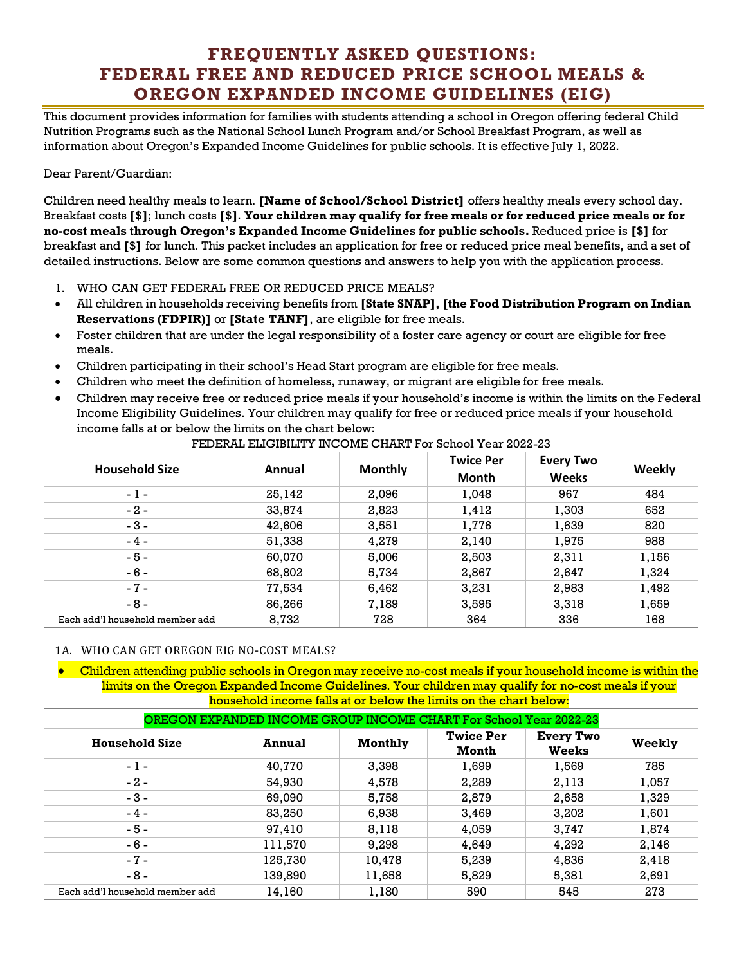## **FREQUENTLY ASKED QUESTIONS: FEDERAL FREE AND REDUCED PRICE SCHOOL MEALS & OREGON EXPANDED INCOME GUIDELINES (EIG)**

This document provides information for families with students attending a school in Oregon offering federal Child Nutrition Programs such as the National School Lunch Program and/or School Breakfast Program, as well as information about Oregon's Expanded Income Guidelines for public schools. It is effective July 1, 2022.

## Dear Parent/Guardian:

Children need healthy meals to learn. **[Name of School/School District]** offers healthy meals every school day. Breakfast costs **[\$]**; lunch costs **[\$]**. **Your children may qualify for free meals or for reduced price meals or for no-cost meals through Oregon's Expanded Income Guidelines for public schools.** Reduced price is **[\$]** for breakfast and **[\$]** for lunch. This packet includes an application for free or reduced price meal benefits, and a set of detailed instructions. Below are some common questions and answers to help you with the application process.

- 1. WHO CAN GET FEDERAL FREE OR REDUCED PRICE MEALS?
- All children in households receiving benefits from **[State SNAP], [the Food Distribution Program on Indian Reservations (FDPIR)]** or **[State TANF]**, are eligible for free meals.
- Foster children that are under the legal responsibility of a foster care agency or court are eligible for free meals.
- Children participating in their school's Head Start program are eligible for free meals.
- Children who meet the definition of homeless, runaway, or migrant are eligible for free meals.
- Children may receive free or reduced price meals if your household's income is within the limits on the Federal Income Eligibility Guidelines. Your children may qualify for free or reduced price meals if your household income falls at or below the limits on the chart below:

| FEDERAL ELIGIBILITY INCOME CHART For School Year 2022-23 |        |                |                                  |                                  |        |  |  |  |
|----------------------------------------------------------|--------|----------------|----------------------------------|----------------------------------|--------|--|--|--|
| <b>Household Size</b>                                    | Annual | <b>Monthly</b> | <b>Twice Per</b><br><b>Month</b> | <b>Every Two</b><br><b>Weeks</b> | Weekly |  |  |  |
| $-1-$                                                    | 25,142 | 2,096          | 1,048                            | 967                              | 484    |  |  |  |
| $-2-$                                                    | 33,874 | 2,823          | 1,412                            | 1,303                            | 652    |  |  |  |
| $-3-$                                                    | 42,606 | 3,551          | 1,776                            | 1,639                            | 820    |  |  |  |
| $-4-$                                                    | 51,338 | 4,279          | 2,140                            | 1,975                            | 988    |  |  |  |
| $-5-$                                                    | 60,070 | 5,006          | 2,503                            | 2,311                            | 1,156  |  |  |  |
| $-6-$                                                    | 68,802 | 5,734          | 2,867                            | 2,647                            | 1,324  |  |  |  |
| $-7-$                                                    | 77,534 | 6,462          | 3,231                            | 2,983                            | 1,492  |  |  |  |
| $-8-$                                                    | 86,266 | 7,189          | 3,595                            | 3,318                            | 1,659  |  |  |  |
| Each add'l household member add                          | 8,732  | 728            | 364                              | 336                              | 168    |  |  |  |

## 1A. WHO CAN GET OREGON EIG NO-COST MEALS?

• Children attending public schools in Oregon may receive no-cost meals if your household income is within the limits on the Oregon Expanded Income Guidelines. Your children may qualify for no-cost meals if your household income falls at or below the limits on the chart below:

| OREGON EXPANDED INCOME GROUP INCOME CHART For School Year 2022-23 |               |                |                           |                                  |        |  |  |  |
|-------------------------------------------------------------------|---------------|----------------|---------------------------|----------------------------------|--------|--|--|--|
| <b>Household Size</b>                                             | <b>Annual</b> | <b>Monthly</b> | <b>Twice Per</b><br>Month | <b>Every Two</b><br><b>Weeks</b> | Weekly |  |  |  |
| $-1-$                                                             | 40,770        | 3,398          | 1,699                     | 1,569                            | 785    |  |  |  |
| $-2-$                                                             | 54,930        | 4,578          | 2,289                     | 2,113                            | 1,057  |  |  |  |
| $-3-$                                                             | 69,090        | 5,758          | 2,879                     | 2,658                            | 1,329  |  |  |  |
| $-4-$                                                             | 83,250        | 6,938          | 3,469                     | 3,202                            | 1,601  |  |  |  |
| $-5-$                                                             | 97,410        | 8,118          | 4,059                     | 3,747                            | 1,874  |  |  |  |
| $-6-$                                                             | 111,570       | 9,298          | 4,649                     | 4,292                            | 2,146  |  |  |  |
| $-7-$                                                             | 125,730       | 10,478         | 5,239                     | 4,836                            | 2,418  |  |  |  |
| $-8-$                                                             | 139,890       | 11,658         | 5,829                     | 5,381                            | 2,691  |  |  |  |
| Each add'l household member add                                   | 14,160        | 1,180          | 590                       | 545                              | 273    |  |  |  |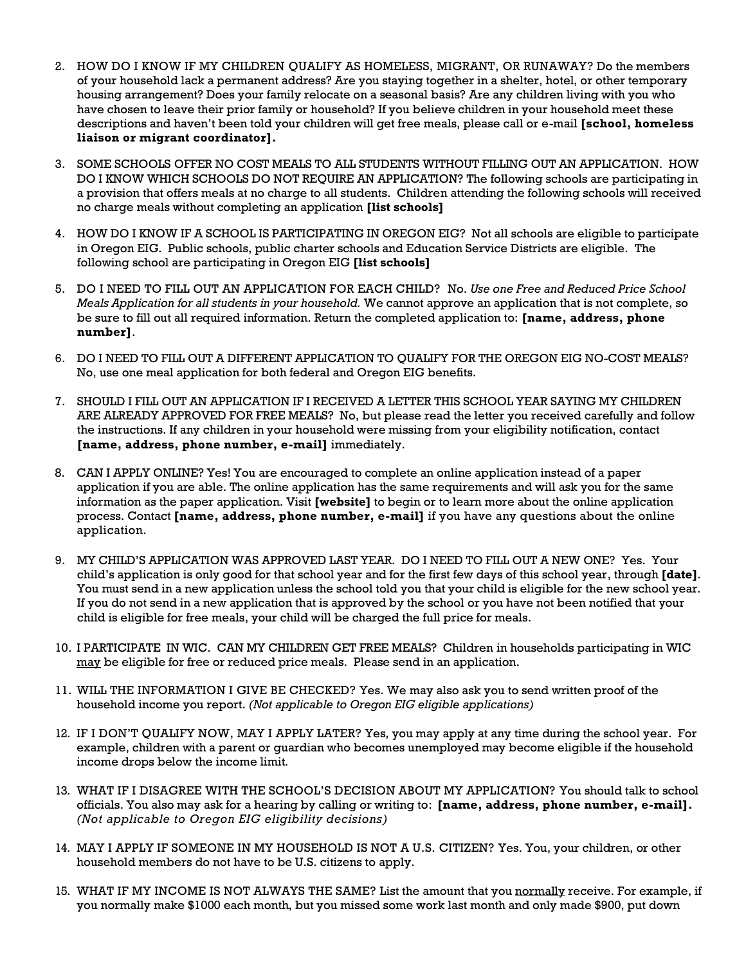- 2. HOW DO I KNOW IF MY CHILDREN QUALIFY AS HOMELESS, MIGRANT, OR RUNAWAY? Do the members of your household lack a permanent address? Are you staying together in a shelter, hotel, or other temporary housing arrangement? Does your family relocate on a seasonal basis? Are any children living with you who have chosen to leave their prior family or household? If you believe children in your household meet these descriptions and haven't been told your children will get free meals, please call or e-mail **[school, homeless liaison or migrant coordinator].**
- 3. SOME SCHOOLS OFFER NO COST MEALS TO ALL STUDENTS WITHOUT FILLING OUT AN APPLICATION. HOW DO I KNOW WHICH SCHOOLS DO NOT REQUIRE AN APPLICATION? The following schools are participating in a provision that offers meals at no charge to all students. Children attending the following schools will received no charge meals without completing an application **[list schools]**
- 4. HOW DO I KNOW IF A SCHOOL IS PARTICIPATING IN OREGON EIG? Not all schools are eligible to participate in Oregon EIG. Public schools, public charter schools and Education Service Districts are eligible. The following school are participating in Oregon EIG **[list schools]**
- 5. DO I NEED TO FILL OUT AN APPLICATION FOR EACH CHILD? No. *Use one Free and Reduced Price School Meals Application for all students in your household.* We cannot approve an application that is not complete, so be sure to fill out all required information. Return the completed application to: **[name, address, phone number]**.
- 6. DO I NEED TO FILL OUT A DIFFERENT APPLICATION TO QUALIFY FOR THE OREGON EIG NO-COST MEALS? No, use one meal application for both federal and Oregon EIG benefits.
- 7. SHOULD I FILL OUT AN APPLICATION IF I RECEIVED A LETTER THIS SCHOOL YEAR SAYING MY CHILDREN ARE ALREADY APPROVED FOR FREE MEALS? No, but please read the letter you received carefully and follow the instructions. If any children in your household were missing from your eligibility notification, contact **[name, address, phone number, e-mail]** immediately.
- 8. CAN I APPLY ONLINE? Yes! You are encouraged to complete an online application instead of a paper application if you are able. The online application has the same requirements and will ask you for the same information as the paper application. Visit **[website]** to begin or to learn more about the online application process. Contact **[name, address, phone number, e-mail]** if you have any questions about the online application.
- 9. MY CHILD'S APPLICATION WAS APPROVED LAST YEAR. DO I NEED TO FILL OUT A NEW ONE? Yes. Your child's application is only good for that school year and for the first few days of this school year, through **[date]**. You must send in a new application unless the school told you that your child is eligible for the new school year. If you do not send in a new application that is approved by the school or you have not been notified that your child is eligible for free meals, your child will be charged the full price for meals.
- 10. I PARTICIPATE IN WIC. CAN MY CHILDREN GET FREE MEALS? Children in households participating in WIC may be eligible for free or reduced price meals. Please send in an application.
- 11. WILL THE INFORMATION I GIVE BE CHECKED? Yes. We may also ask you to send written proof of the household income you report. *(Not applicable to Oregon EIG eligible applications)*
- 12. IF I DON'T QUALIFY NOW, MAY I APPLY LATER? Yes, you may apply at any time during the school year. For example, children with a parent or guardian who becomes unemployed may become eligible if the household income drops below the income limit.
- 13. WHAT IF I DISAGREE WITH THE SCHOOL'S DECISION ABOUT MY APPLICATION? You should talk to school officials. You also may ask for a hearing by calling or writing to: **[name, address, phone number, e-mail].** *(Not applicable to Oregon EIG eligibility decisions)*
- 14. MAY I APPLY IF SOMEONE IN MY HOUSEHOLD IS NOT A U.S. CITIZEN? Yes. You, your children, or other household members do not have to be U.S. citizens to apply.
- 15. WHAT IF MY INCOME IS NOT ALWAYS THE SAME? List the amount that you normally receive. For example, if you normally make \$1000 each month, but you missed some work last month and only made \$900, put down